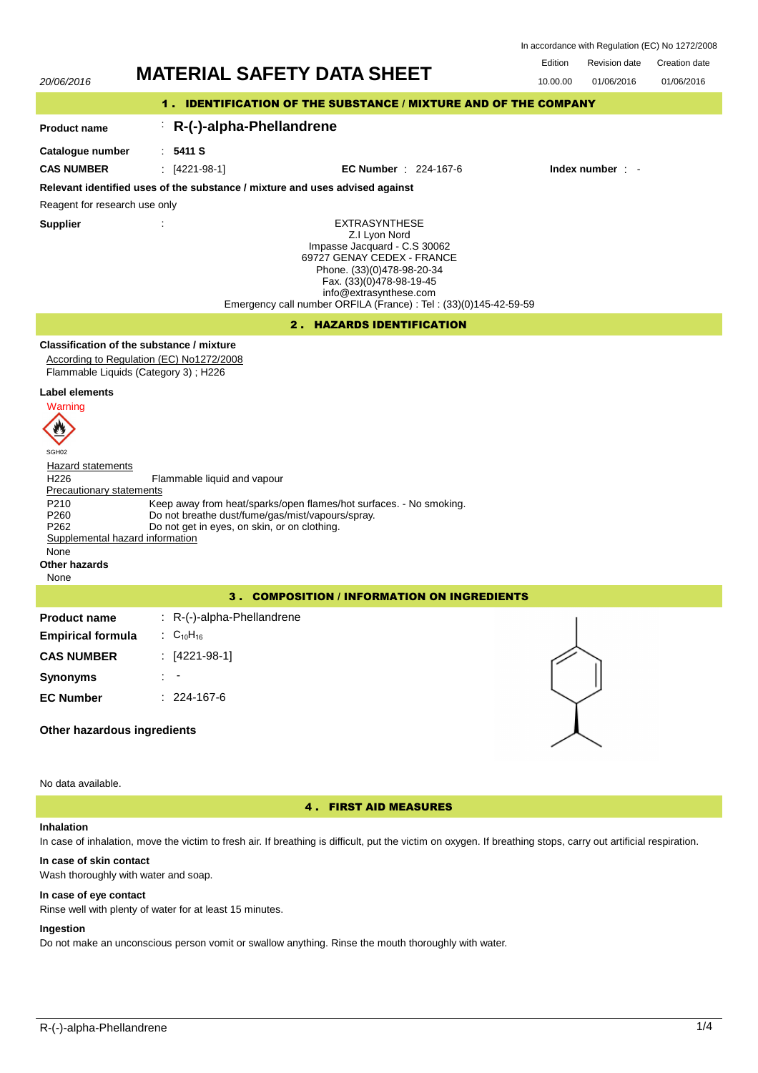| In accordance with Regulation (EC) No 1272/2008 |  |
|-------------------------------------------------|--|
|-------------------------------------------------|--|

## Edition Revision date Creation date



No data available.

4 . FIRST AID MEASURES

## **Inhalation**

In case of inhalation, move the victim to fresh air. If breathing is difficult, put the victim on oxygen. If breathing stops, carry out artificial respiration.

## **In case of skin contact**

Wash thoroughly with water and soap.

#### **In case of eye contact**

Rinse well with plenty of water for at least 15 minutes.

## **Ingestion**

Do not make an unconscious person vomit or swallow anything. Rinse the mouth thoroughly with water.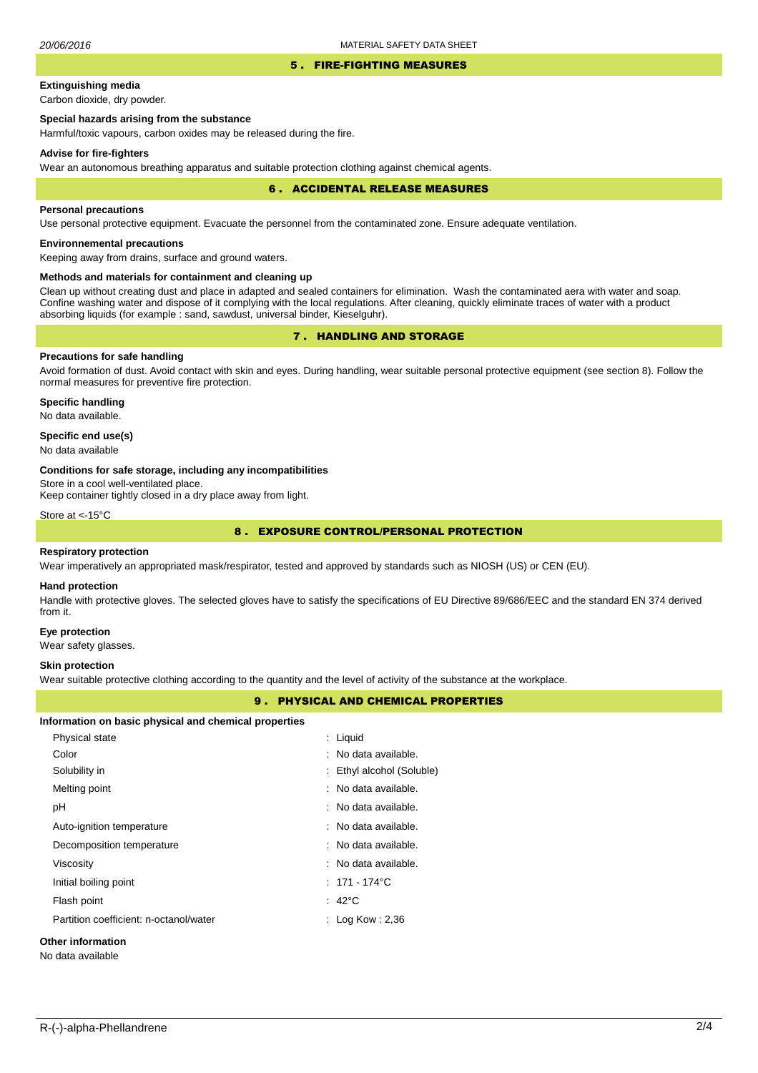#### 5 . FIRE-FIGHTING MEASURES

# **Extinguishing media**

Carbon dioxide, dry powder.

## **Special hazards arising from the substance**

Harmful/toxic vapours, carbon oxides may be released during the fire.

#### **Advise for fire-fighters**

Wear an autonomous breathing apparatus and suitable protection clothing against chemical agents.

#### 6 . ACCIDENTAL RELEASE MEASURES

### **Personal precautions**

Use personal protective equipment. Evacuate the personnel from the contaminated zone. Ensure adequate ventilation.

## **Environnemental precautions**

Keeping away from drains, surface and ground waters.

### **Methods and materials for containment and cleaning up**

Clean up without creating dust and place in adapted and sealed containers for elimination. Wash the contaminated aera with water and soap. Confine washing water and dispose of it complying with the local regulations. After cleaning, quickly eliminate traces of water with a product absorbing liquids (for example : sand, sawdust, universal binder, Kieselguhr).

# 7 . HANDLING AND STORAGE

## **Precautions for safe handling**

Avoid formation of dust. Avoid contact with skin and eyes. During handling, wear suitable personal protective equipment (see section 8). Follow the normal measures for preventive fire protection.

**Specific handling** No data available.

## **Specific end use(s)**

No data available

#### **Conditions for safe storage, including any incompatibilities**

Store in a cool well-ventilated place.

Keep container tightly closed in a dry place away from light.

Store at <-15°C

## 8 . EXPOSURE CONTROL/PERSONAL PROTECTION

### **Respiratory protection**

Wear imperatively an appropriated mask/respirator, tested and approved by standards such as NIOSH (US) or CEN (EU).

#### **Hand protection**

Handle with protective gloves. The selected gloves have to satisfy the specifications of EU Directive 89/686/EEC and the standard EN 374 derived from it.

#### **Eye protection**

Wear safety glasses.

#### **Skin protection**

Wear suitable protective clothing according to the quantity and the level of activity of the substance at the workplace.

## 9 . PHYSICAL AND CHEMICAL PROPERTIES

#### **Information on basic physical and chemical properties**

| Physical state                         | : Liquid                  |
|----------------------------------------|---------------------------|
| Color                                  | : No data available.      |
| Solubility in                          | : Ethyl alcohol (Soluble) |
| Melting point                          | : No data available.      |
| рH                                     | : No data available.      |
| Auto-ignition temperature              | : No data available.      |
| Decomposition temperature              | : No data available.      |
| Viscosity                              | : No data available.      |
| Initial boiling point                  | $: 171 - 174^{\circ}$ C   |
| Flash point                            | $: 42^{\circ}$ C          |
| Partition coefficient: n-octanol/water | : Log Kow : 2,36          |
|                                        |                           |

# **Other information**

No data available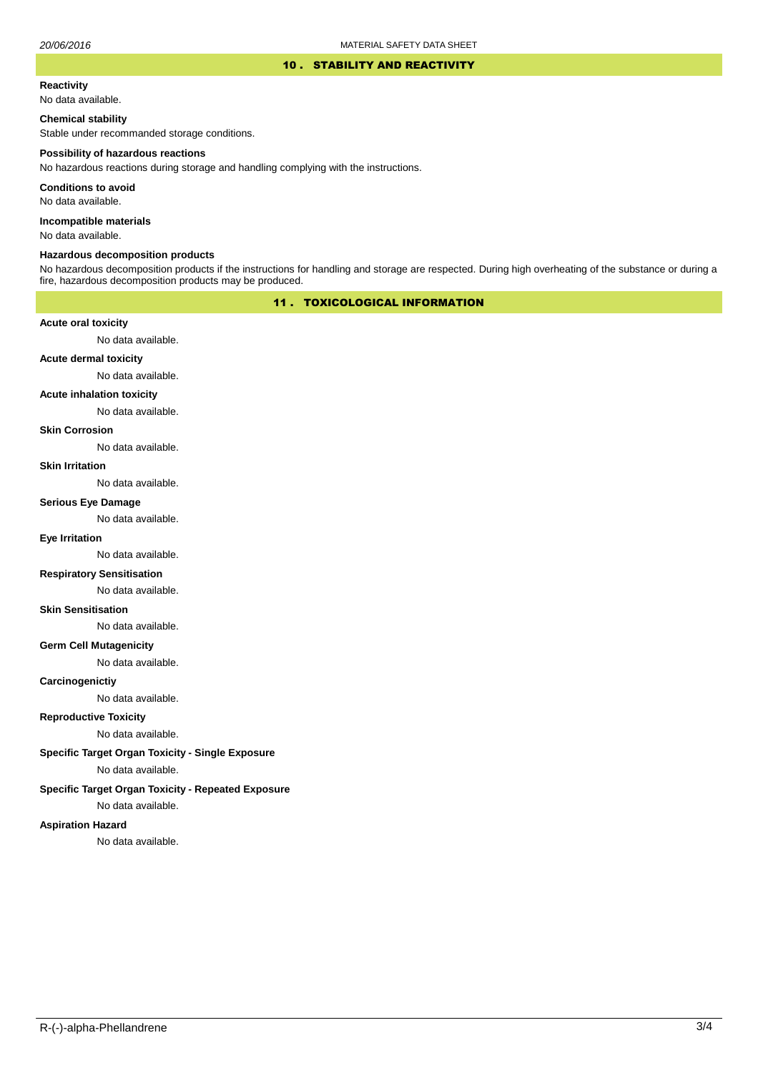### 10 . STABILITY AND REACTIVITY

#### **Reactivity**

No data available.

## **Chemical stability**

Stable under recommanded storage conditions.

#### **Possibility of hazardous reactions**

No hazardous reactions during storage and handling complying with the instructions.

**Conditions to avoid**

No data available.

**Incompatible materials**

No data available.

#### **Hazardous decomposition products**

No hazardous decomposition products if the instructions for handling and storage are respected. During high overheating of the substance or during a fire, hazardous decomposition products may be produced.

## 11 . TOXICOLOGICAL INFORMATION

## **Acute oral toxicity**

No data available.

# **Acute dermal toxicity**

No data available.

## **Acute inhalation toxicity**

No data available.

## **Skin Corrosion**

No data available.

#### **Skin Irritation**

No data available.

### **Serious Eye Damage**

No data available.

## **Eye Irritation**

No data available.

## **Respiratory Sensitisation**

No data available.

### **Skin Sensitisation**

No data available.

## **Germ Cell Mutagenicity**

No data available.

## **Carcinogenictiy**

No data available.

# **Reproductive Toxicity**

No data available.

## **Specific Target Organ Toxicity - Single Exposure**

No data available.

## **Specific Target Organ Toxicity - Repeated Exposure**

No data available.

#### **Aspiration Hazard**

No data available.